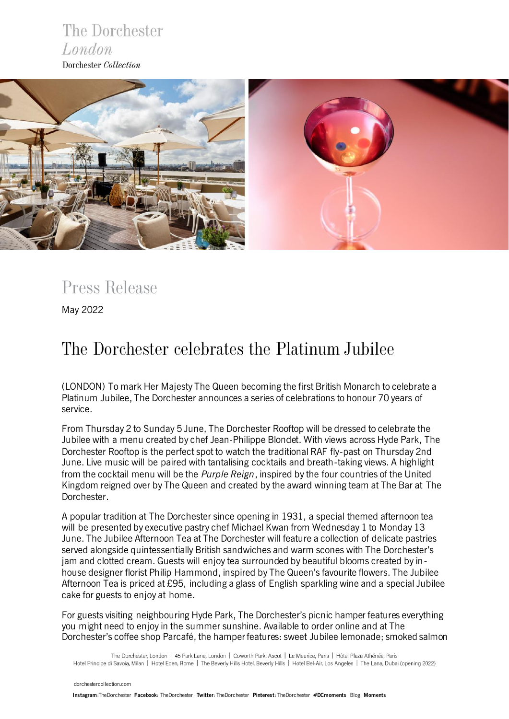



*Press Release*

May 2022

# *The Dorchester celebrates the Platinum Jubilee*

(LONDON) To mark Her Majesty The Queen becoming the first British Monarch to celebrate a Platinum Jubilee, The Dorchester announces a series of celebrations to honour 70 years of service.

From Thursday 2 to Sunday 5 June, The Dorchester Rooftop will be dressed to celebrate the Jubilee with a menu created by chef Jean-Philippe Blondet. With views across Hyde Park, The Dorchester Rooftop is the perfect spot to watch the traditional RAF fly-past on Thursday 2nd June. Live music will be paired with tantalising cocktails and breath-taking views. A highlight from the cocktail menu will be the *Purple Reign*, inspired by the four countries of the United Kingdom reigned over by The Queen and created by the award winning team at The Bar at The Dorchester.

A popular tradition at The Dorchester since opening in 1931, a special themed afternoon tea will be presented by executive pastry chef Michael Kwan from Wednesday 1 to Monday 13 June. The Jubilee Afternoon Tea at The Dorchester will feature a collection of delicate pastries served alongside quintessentially British sandwiches and warm scones with The Dorchester's jam and clotted cream. Guests will enjoy tea surrounded by beautiful blooms created by inhouse designer florist Philip Hammond, inspired by The Queen's favourite flowers. The Jubilee Afternoon Tea is priced at £95, including a glass of English sparkling wine and a special Jubilee cake for guests to enjoy at home.

For guests visiting neighbouring Hyde Park, The Dorchester's picnic hamper features everything you might need to enjoy in the summer sunshine. Available to order online and at The Dorchester's coffee shop Parcafé, the hamper features: sweet Jubilee lemonade; smoked salmon

The Dorchester, London | 45 Park Lane, London | Coworth Park, Ascot | Le Meurice, Paris | Hôtel Plaza Athénée, Paris Hotel Principe di Savoia, Milan | Hotel Eden, Rome | The Beverly Hills Hotel, Beverly Hills | Hotel Bel-Air, Los Angeles | The Lana, Dubai (opening 2022)

 [dorchestercollection.com](https://www.instagram.com/thedorchester/)

 **[Ins](https://www.dorchestercollection.com/en/london/the-dorchester/)tagram**:TheDorchester **Facebook**: [TheDorchester](https://www.facebook.com/TheDorchester) **Twitter**: [TheDorchester](https://twitter.com/TheDorchester) **Pinterest**[: TheDorchester](https://www.pinterest.co.uk/thedorchester/_created/) **#DCmoments** Blog: **[Moments](https://www.dorchestercollection.com/en/moments/)**